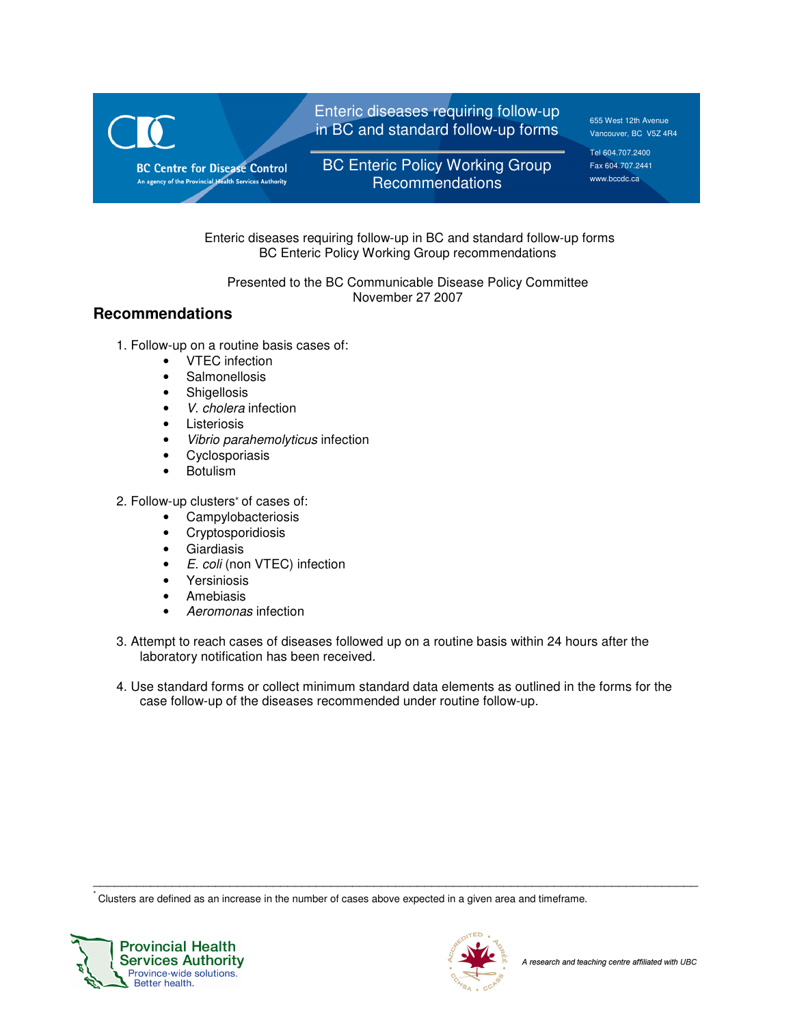

 Enteric diseases requiring follow-up in BC and standard follow-up forms BC Enteric Policy Working Group recommendations

Presented to the BC Communicable Disease Policy Committee November 27 2007

# **Recommendations**

- 1. Follow-up on a routine basis cases of:
	- VTEC infection
	- Salmonellosis
	- Shigellosis
	- V. cholera infection
	- Listeriosis
	- Vibrio parahemolyticus infection
	- Cyclosporiasis
	- Botulism
- 2. Follow-up clusters\* of cases of:
	- Campylobacteriosis
	- Cryptosporidiosis
	- Giardiasis
	- E. coli (non VTEC) infection
	- Yersiniosis
	- Amebiasis
	- Aeromonas infection
- 3. Attempt to reach cases of diseases followed up on a routine basis within 24 hours after the laboratory notification has been received.
- 4. Use standard forms or collect minimum standard data elements as outlined in the forms for the case follow-up of the diseases recommended under routine follow-up.

\_\_\_\_\_\_\_\_\_\_\_\_\_\_\_\_\_\_\_\_\_\_\_\_\_\_\_\_\_\_\_\_\_\_\_\_\_\_\_\_\_\_\_\_\_\_\_\_\_\_\_\_\_\_\_\_\_\_\_\_\_\_\_\_\_\_\_\_\_\_\_\_\_\_\_\_\_\_\_\_\_\_\_\_

∗ Clusters are defined as an increase in the number of cases above expected in a given area and timeframe.



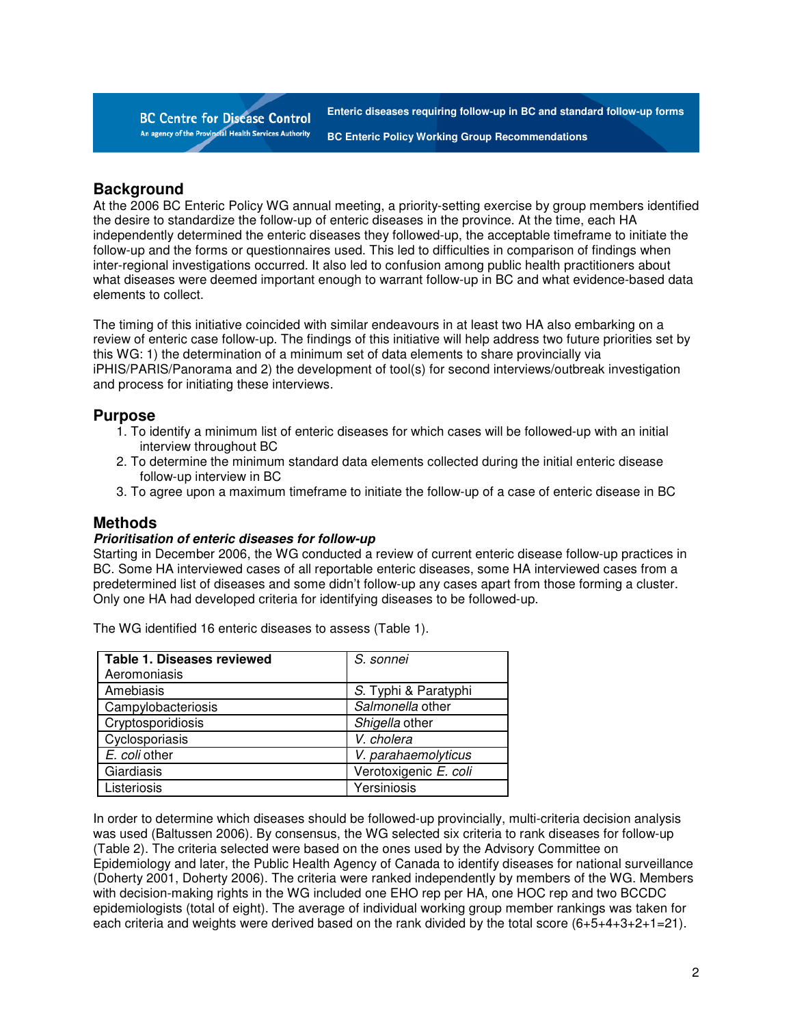**BC Centre for Disease Control** An agency of the Provincial Health Services Authority

**Enteric diseases requiring follow-up in BC and standard follow-up forms BC Enteric Policy Working Group Recommendations** 

### **Background**

At the 2006 BC Enteric Policy WG annual meeting, a priority-setting exercise by group members identified the desire to standardize the follow-up of enteric diseases in the province. At the time, each HA independently determined the enteric diseases they followed-up, the acceptable timeframe to initiate the follow-up and the forms or questionnaires used. This led to difficulties in comparison of findings when inter-regional investigations occurred. It also led to confusion among public health practitioners about what diseases were deemed important enough to warrant follow-up in BC and what evidence-based data elements to collect.

The timing of this initiative coincided with similar endeavours in at least two HA also embarking on a review of enteric case follow-up. The findings of this initiative will help address two future priorities set by this WG: 1) the determination of a minimum set of data elements to share provincially via iPHIS/PARIS/Panorama and 2) the development of tool(s) for second interviews/outbreak investigation and process for initiating these interviews.

### **Purpose**

- 1. To identify a minimum list of enteric diseases for which cases will be followed-up with an initial interview throughout BC
- 2. To determine the minimum standard data elements collected during the initial enteric disease follow-up interview in BC
- 3. To agree upon a maximum timeframe to initiate the follow-up of a case of enteric disease in BC

### **Methods**

#### **Prioritisation of enteric diseases for follow-up**

Starting in December 2006, the WG conducted a review of current enteric disease follow-up practices in BC. Some HA interviewed cases of all reportable enteric diseases, some HA interviewed cases from a predetermined list of diseases and some didn't follow-up any cases apart from those forming a cluster. Only one HA had developed criteria for identifying diseases to be followed-up.

The WG identified 16 enteric diseases to assess (Table 1).

| <b>Table 1. Diseases reviewed</b> | S. sonnei             |  |
|-----------------------------------|-----------------------|--|
| Aeromoniasis                      |                       |  |
| Amebiasis                         | S. Typhi & Paratyphi  |  |
| Campylobacteriosis                | Salmonella other      |  |
| Cryptosporidiosis                 | Shigella other        |  |
| Cyclosporiasis                    | V. cholera            |  |
| E. coli other                     | V. parahaemolyticus   |  |
| Giardiasis                        | Verotoxigenic E. coli |  |
| Listeriosis                       | Yersiniosis           |  |

In order to determine which diseases should be followed-up provincially, multi-criteria decision analysis was used (Baltussen 2006). By consensus, the WG selected six criteria to rank diseases for follow-up (Table 2). The criteria selected were based on the ones used by the Advisory Committee on Epidemiology and later, the Public Health Agency of Canada to identify diseases for national surveillance (Doherty 2001, Doherty 2006). The criteria were ranked independently by members of the WG. Members with decision-making rights in the WG included one EHO rep per HA, one HOC rep and two BCCDC epidemiologists (total of eight). The average of individual working group member rankings was taken for each criteria and weights were derived based on the rank divided by the total score (6+5+4+3+2+1=21).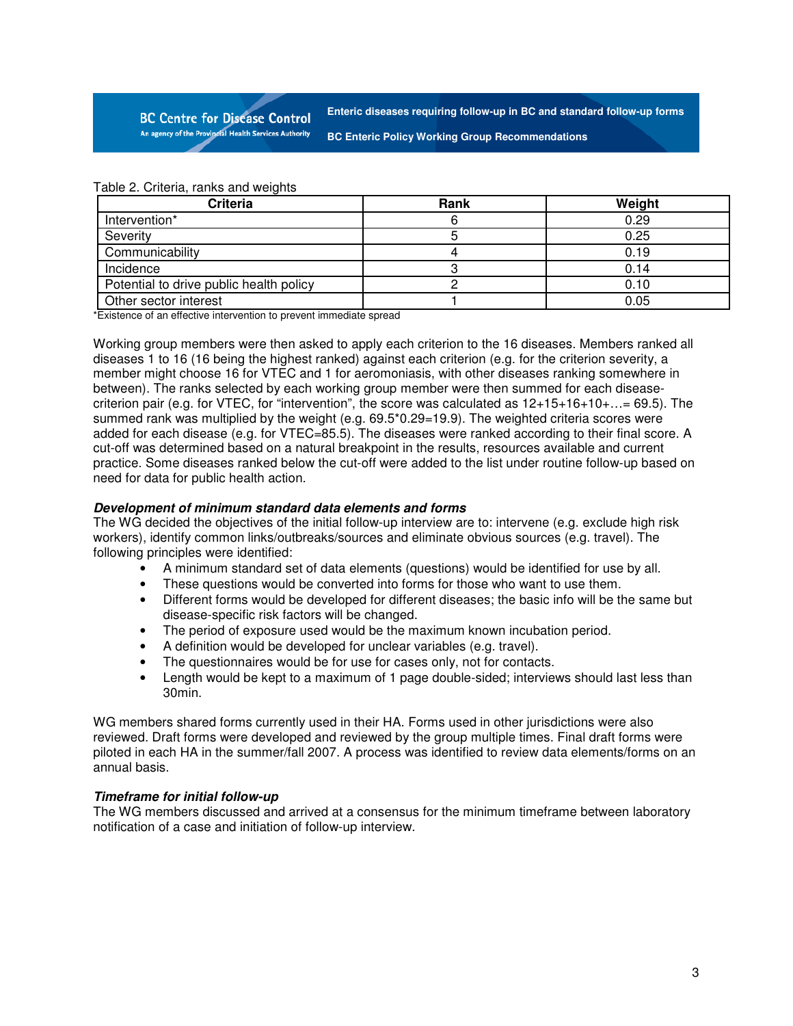**BC Centre for Disease Control** An agency of the Provincial Health Services Authority

**Enteric diseases requiring follow-up in BC and standard follow-up forms**

**BC Enteric Policy Working Group Recommendations** 

| Criteria                                | Rank | Weight |
|-----------------------------------------|------|--------|
| Intervention*                           |      | 0.29   |
| Severity                                |      | 0.25   |
| Communicability                         |      | 0.19   |
| Incidence                               |      | 0.14   |
| Potential to drive public health policy |      | 0.10   |
| Other sector interest                   |      | 0.05   |

\*Existence of an effective intervention to prevent immediate spread

Working group members were then asked to apply each criterion to the 16 diseases. Members ranked all diseases 1 to 16 (16 being the highest ranked) against each criterion (e.g. for the criterion severity, a member might choose 16 for VTEC and 1 for aeromoniasis, with other diseases ranking somewhere in between). The ranks selected by each working group member were then summed for each diseasecriterion pair (e.g. for VTEC, for "intervention", the score was calculated as 12+15+16+10+…= 69.5). The summed rank was multiplied by the weight (e.g. 69.5\*0.29=19.9). The weighted criteria scores were added for each disease (e.g. for VTEC=85.5). The diseases were ranked according to their final score. A cut-off was determined based on a natural breakpoint in the results, resources available and current practice. Some diseases ranked below the cut-off were added to the list under routine follow-up based on need for data for public health action.

#### **Development of minimum standard data elements and forms**

The WG decided the objectives of the initial follow-up interview are to: intervene (e.g. exclude high risk workers), identify common links/outbreaks/sources and eliminate obvious sources (e.g. travel). The following principles were identified:

- A minimum standard set of data elements (questions) would be identified for use by all.
- These questions would be converted into forms for those who want to use them.
- Different forms would be developed for different diseases; the basic info will be the same but disease-specific risk factors will be changed.
- The period of exposure used would be the maximum known incubation period.
- A definition would be developed for unclear variables (e.g. travel).
- The questionnaires would be for use for cases only, not for contacts.
- Length would be kept to a maximum of 1 page double-sided; interviews should last less than 30min.

WG members shared forms currently used in their HA. Forms used in other jurisdictions were also reviewed. Draft forms were developed and reviewed by the group multiple times. Final draft forms were piloted in each HA in the summer/fall 2007. A process was identified to review data elements/forms on an annual basis.

#### **Timeframe for initial follow-up**

The WG members discussed and arrived at a consensus for the minimum timeframe between laboratory notification of a case and initiation of follow-up interview.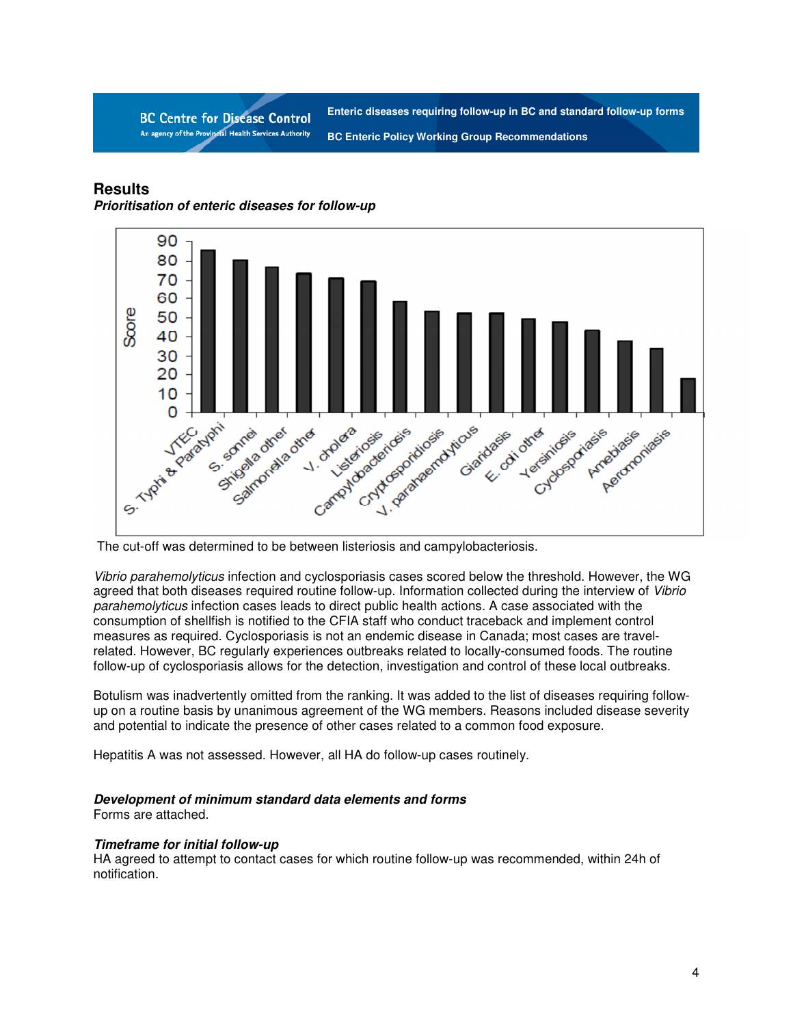**BC Centre for Disease Control** An agency of the Provincial Health Services Authority

**Enteric diseases requiring follow-up in BC and standard follow-up forms BC Enteric Policy Working Group Recommendations** 

# **Results**

**Prioritisation of enteric diseases for follow-up** 



The cut-off was determined to be between listeriosis and campylobacteriosis.

Vibrio parahemolyticus infection and cyclosporiasis cases scored below the threshold. However, the WG agreed that both diseases required routine follow-up. Information collected during the interview of Vibrio parahemolyticus infection cases leads to direct public health actions. A case associated with the consumption of shellfish is notified to the CFIA staff who conduct traceback and implement control measures as required. Cyclosporiasis is not an endemic disease in Canada; most cases are travelrelated. However, BC regularly experiences outbreaks related to locally-consumed foods. The routine follow-up of cyclosporiasis allows for the detection, investigation and control of these local outbreaks.

Botulism was inadvertently omitted from the ranking. It was added to the list of diseases requiring followup on a routine basis by unanimous agreement of the WG members. Reasons included disease severity and potential to indicate the presence of other cases related to a common food exposure.

Hepatitis A was not assessed. However, all HA do follow-up cases routinely.

# **Development of minimum standard data elements and forms**

Forms are attached.

#### **Timeframe for initial follow-up**

HA agreed to attempt to contact cases for which routine follow-up was recommended, within 24h of notification.